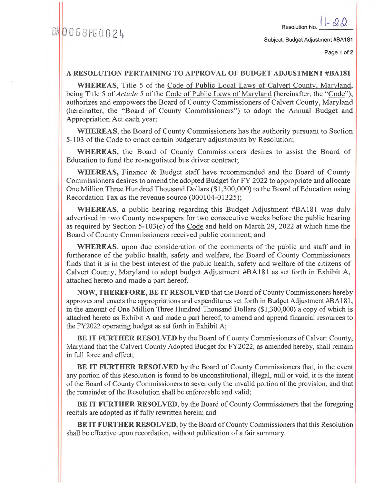Page 1 of 2

## **A RESOLUTION PERTAINING TO APPROVAL OF BUDGET ADJUSTMENT #BA181**

**WHEREAS,** Title 5 of the Code of Public Local Laws of Calvert County, Maryland, being Title 5 of *Article 5* of the Code of Public Laws of Maryland (hereinafter, the "Code"), authorizes and empowers the Board of County Commissioners of Calvert County, Maryland (hereinafter, the "Board of County Commissioners") to adopt the Annual Budget and Appropriation Act each year;

**WHEREAS,** the Board of County Commissioners has the authority pursuant to Section 5-103 of the Code to enact certain budgetary adjustments by Resolution;

**WHEREAS,** the Board of County Commissioners desires to assist the Board of Education to fund the re-negotiated bus driver contract;

**WHEREAS, Finance &** Budget staff have recommended and the Board of County Commissioners desires to amend the adopted Budget for FY 2022 to appropriate and allocate One Million Three Hundred Thousand Dollars (\$1,300,000) to the Board of Education using Recordation Tax as the revenue source (000104-01325);

**WHEREAS, a** public hearing regarding this Budget Adjustment #BA181 was duly advertised in two County newspapers for two consecutive weeks before the public hearing as required by Section 5-103(c) of the Code and held on March 29, 2022 at which time the Board of County Commissioners received public comment; and

**WHEREAS,** upon due consideration of the comments of the public and staff and in furtherance of the public health, safety and welfare, the Board of County Commissioners finds that it is in the best interest of the public health, safety and welfare of the citizens of Calvert County, Maryland to adopt budget Adjustment #BA181 as set forth in Exhibit A, attached hereto and made a part hereof.

**NOW, THEREFORE, BE IT RESOLVED** that the Board of County Commissioners hereby approves and enacts the appropriations and expenditures set forth in Budget Adjustment #BA181, in the amount of One Million Three Hundred Thousand Dollars (\$1,300,000) a copy of which is attached hereto as Exhibit A and made a part hereof, to amend and append financial resources to the FY2022 operating budget as set forth in Exhibit **A;** 

**BE IT FURTHER RESOLVED** by the Board of County Commissioners of Calvert County, Maryland that the Calvert County Adopted Budget for FY2022, as amended hereby, shall remain in full force and effect;

**BE IT FURTHER RESOLVED** by the Board of County Commissioners that, in the event any portion of this Resolution is found to be unconstitutional, illegal, null or void, it is the intent of the Board of County Commissioners to sever only the invalid portion of the provision, and that the remainder of the Resolution shall be enforceable and valid;

**BE IT FURTHER RESOLVED,** by the Board of County Commissioners that the foregoing recitals are adopted as if fully rewritten herein; and

**BE IT FURTHER RESOLVED,** by the Board of County Commissioners that this Resolution shall be effective upon recordation, without publication of a fair summary.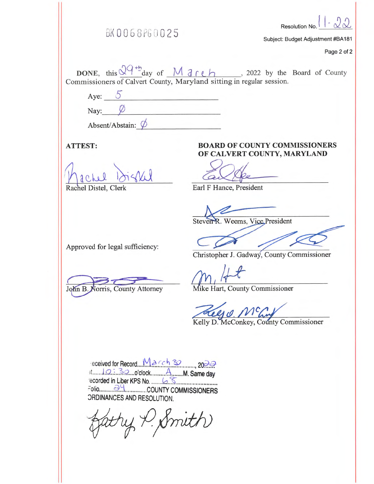|              | BK0068PG0025                                                                                                                                                                  |  | Resolution No. $\left  \cdot \sqrt[1]{\sqrt{2}} \right $ .<br>Subject: Budget Adjustment #BA181 |
|--------------|-------------------------------------------------------------------------------------------------------------------------------------------------------------------------------|--|-------------------------------------------------------------------------------------------------|
|              |                                                                                                                                                                               |  | Page 2 of 2                                                                                     |
|              | DONE, this $\frac{2q + b}{q}$ day of $M \frac{1}{q}$ ( <i>c</i> ) _____, 2022 by the Board of County<br>Commissioners of Calvert County, Maryland sitting in regular session. |  |                                                                                                 |
|              | Aye: $\circ$                                                                                                                                                                  |  |                                                                                                 |
| $N_{\alpha}$ |                                                                                                                                                                               |  |                                                                                                 |

**ATTEST:** 

Absent/Abstain:  $\phi$ 

Rachel Distel, Clerk

**BOARD OF COUNTY COMMISSIONERS** OF CALVERT COUNTY, MARYLAND

Earl F Hance, President

Steven R. Weems, Vice President

Approved for legal sufficiency:

John B. Norris, County Attorney

Christopher J. Gadway, County Commissioner

Mike Hart, County Commissioner

Kelly O. MC Conkey, County Commissioner

ORDINANCES AND RESOLUTION.

Smith